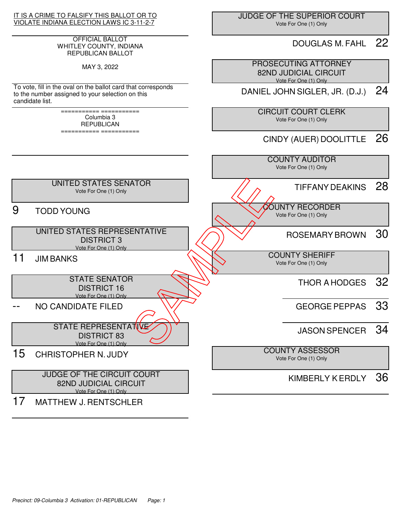

#### OFFICIAL BALLOT WHITLEY COUNTY, INDIANA REPUBLICAN BALLOT

MAY 3, 2022

To vote, fill in the oval on the ballot card that corresponds to the number assigned to your selection on this candidate list.

> =========== =========== Columbia 3 **REPUBLICAN** =========== ===========

 JUDGE OF THE SUPERIOR COURT Vote For One (1) Only

### DOUGLAS M. FAHL 22

 PROSECUTING ATTORNEY 82ND JUDICIAL CIRCUIT Vote For One (1) Only

DANIEL JOHN SIGLER, JR. (D.J.) 24

 CIRCUIT COURT CLERK Vote For One (1) Only

# CINDY (AUER) DOOLITTLE 26

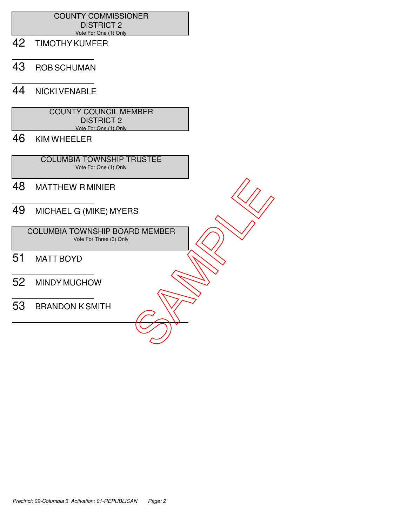### COUNTY COMMISSIONER DISTRICT 2 Vote For One (1) Only

- 42 TIMOTHY KUMFER
- 43 ROB SCHUMAN

### 44 NICKI VENABLE

| <b>COUNTY COUNCIL MEMBER</b> |  |
|------------------------------|--|
| <b>DISTRICT 2</b>            |  |
| Vote For One (1) Only        |  |

# 46 KIM WHEELER

 COLUMBIA TOWNSHIP TRUSTEE Vote For One (1) Only

- 48 MATTHEW R MINIER
- 49 MICHAEL G (MIKE) MYERS

 COLUMBIA TOWNSHIP BOARD MEMBER Vote For Three (3) Only 48 MATTHEW RMINIER<br>
49 MICHAEL G (MIKE) MYERS<br>
COLUMBIA TOWNSHIP BOARD MEMBER<br>
51 MATT BOYD<br>
52 MINDY MUCHOW<br>
53 BRANDON K SMITH

- 51 MATT BOYD
- 52 MINDY MUCHOW
-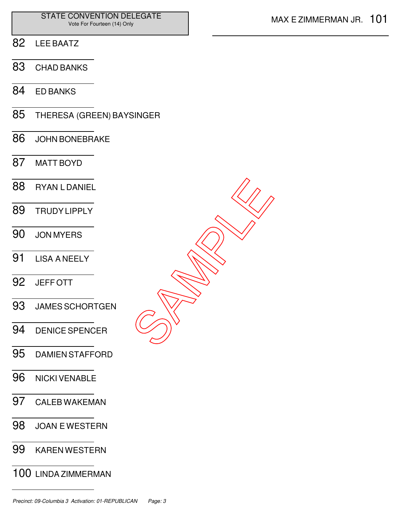- LEE BAATZ
- CHAD BANKS
- ED BANKS
- THERESA (GREEN) BAYSINGER
- JOHN BONEBRAKE
- MATT BOYD
- RYAN L DANIEL TRUDY LIPPLY JON MYERS LISA A NEELY JEFF OTT JAMES SCHORTGEN DENICE SPENCER DAMIEN STAFFORD SAMPLE<br>SAMPLE
- NICKI VENABLE
- CALEB WAKEMAN
- JOAN E WESTERN
- KAREN WESTERN
- LINDA ZIMMERMAN

Precinct: 09-Columbia 3 Activation: 01-REPUBLICAN Page: 3